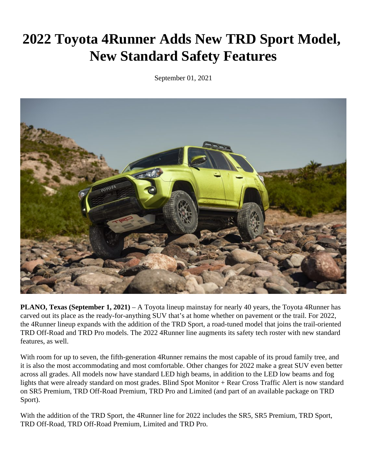# **2022 Toyota 4Runner Adds New TRD Sport Model, New Standard Safety Features**

September 01, 2021



**PLANO, Texas (September 1, 2021)** – A Toyota lineup mainstay for nearly 40 years, the Toyota 4Runner has carved out its place as the ready-for-anything SUV that's at home whether on pavement or the trail. For 2022, the 4Runner lineup expands with the addition of the TRD Sport, a road-tuned model that joins the trail-oriented TRD Off-Road and TRD Pro models. The 2022 4Runner line augments its safety tech roster with new standard features, as well.

With room for up to seven, the fifth-generation 4Runner remains the most capable of its proud family tree, and it is also the most accommodating and most comfortable. Other changes for 2022 make a great SUV even better across all grades. All models now have standard LED high beams, in addition to the LED low beams and fog lights that were already standard on most grades. Blind Spot Monitor + Rear Cross Traffic Alert is now standard on SR5 Premium, TRD Off-Road Premium, TRD Pro and Limited (and part of an available package on TRD Sport).

With the addition of the TRD Sport, the 4Runner line for 2022 includes the SR5, SR5 Premium, TRD Sport, TRD Off-Road, TRD Off-Road Premium, Limited and TRD Pro.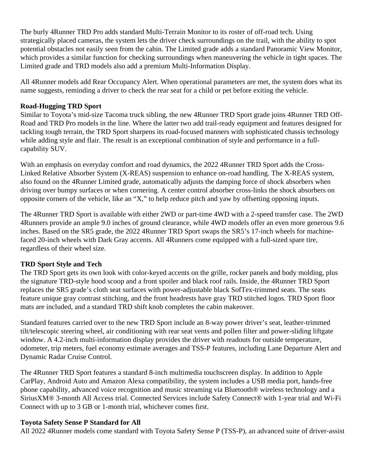The burly 4Runner TRD Pro adds standard Multi-Terrain Monitor to its roster of off-road tech. Using strategically placed cameras, the system lets the driver check surroundings on the trail, with the ability to spot potential obstacles not easily seen from the cabin. The Limited grade adds a standard Panoramic View Monitor, which provides a similar function for checking surroundings when maneuvering the vehicle in tight spaces. The Limited grade and TRD models also add a premium Multi-Information Display.

All 4Runner models add Rear Occupancy Alert. When operational parameters are met, the system does what its name suggests, reminding a driver to check the rear seat for a child or pet before exiting the vehicle.

## **Road-Hugging TRD Sport**

Similar to Toyota's mid-size Tacoma truck sibling, the new 4Runner TRD Sport grade joins 4Runner TRD Off-Road and TRD Pro models in the line. Where the latter two add trail-ready equipment and features designed for tackling tough terrain, the TRD Sport sharpens its road-focused manners with sophisticated chassis technology while adding style and flair. The result is an exceptional combination of style and performance in a fullcapability SUV.

With an emphasis on everyday comfort and road dynamics, the 2022 4Runner TRD Sport adds the Cross-Linked Relative Absorber System (X-REAS) suspension to enhance on-road handling. The X-REAS system, also found on the 4Runner Limited grade, automatically adjusts the damping force of shock absorbers when driving over bumpy surfaces or when cornering. A center control absorber cross-links the shock absorbers on opposite corners of the vehicle, like an "X," to help reduce pitch and yaw by offsetting opposing inputs.

The 4Runner TRD Sport is available with either 2WD or part-time 4WD with a 2-speed transfer case. The 2WD 4Runners provide an ample 9.0 inches of ground clearance, while 4WD models offer an even more generous 9.6 inches. Based on the SR5 grade, the 2022 4Runner TRD Sport swaps the SR5's 17-inch wheels for machinefaced 20-inch wheels with Dark Gray accents. All 4Runners come equipped with a full-sized spare tire, regardless of their wheel size.

### **TRD Sport Style and Tech**

The TRD Sport gets its own look with color-keyed accents on the grille, rocker panels and body molding, plus the signature TRD-style hood scoop and a front spoiler and black roof rails. Inside, the 4Runner TRD Sport replaces the SR5 grade's cloth seat surfaces with power-adjustable black SofTex-trimmed seats. The seats feature unique gray contrast stitching, and the front headrests have gray TRD stitched logos. TRD Sport floor mats are included, and a standard TRD shift knob completes the cabin makeover.

Standard features carried over to the new TRD Sport include an 8-way power driver's seat, leather-trimmed tilt/telescopic steering wheel, air conditioning with rear seat vents and pollen filter and power-sliding liftgate window. A 4.2-inch multi-information display provides the driver with readouts for outside temperature, odometer, trip meters, fuel economy estimate averages and TSS-P features, including Lane Departure Alert and Dynamic Radar Cruise Control.

The 4Runner TRD Sport features a standard 8-inch multimedia touchscreen display. In addition to Apple CarPlay, Android Auto and Amazon Alexa compatibility, the system includes a USB media port, hands-free phone capability, advanced voice recognition and music streaming via Bluetooth® wireless technology and a SiriusXM® 3-month All Access trial. Connected Services include Safety Connect® with 1-year trial and Wi-Fi Connect with up to 3 GB or 1-month trial, whichever comes first.

### **Toyota Safety Sense P Standard for All**

All 2022 4Runner models come standard with Toyota Safety Sense P (TSS-P), an advanced suite of driver-assist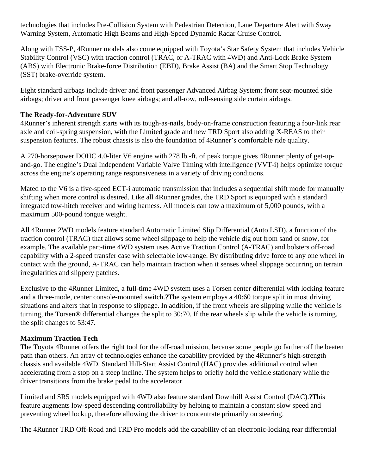technologies that includes Pre-Collision System with Pedestrian Detection, Lane Departure Alert with Sway Warning System, Automatic High Beams and High-Speed Dynamic Radar Cruise Control.

Along with TSS-P, 4Runner models also come equipped with Toyota's Star Safety System that includes Vehicle Stability Control (VSC) with traction control (TRAC, or A-TRAC with 4WD) and Anti-Lock Brake System (ABS) with Electronic Brake-force Distribution (EBD), Brake Assist (BA) and the Smart Stop Technology (SST) brake-override system.

Eight standard airbags include driver and front passenger Advanced Airbag System; front seat-mounted side airbags; driver and front passenger knee airbags; and all-row, roll-sensing side curtain airbags.

# **The Ready-for-Adventure SUV**

4Runner's inherent strength starts with its tough-as-nails, body-on-frame construction featuring a four-link rear axle and coil-spring suspension, with the Limited grade and new TRD Sport also adding X-REAS to their suspension features. The robust chassis is also the foundation of 4Runner's comfortable ride quality.

A 270-horsepower DOHC 4.0-liter V6 engine with 278 lb.-ft. of peak torque gives 4Runner plenty of get-upand-go. The engine's Dual Independent Variable Valve Timing with intelligence (VVT-i) helps optimize torque across the engine's operating range responsiveness in a variety of driving conditions.

Mated to the V6 is a five-speed ECT-i automatic transmission that includes a sequential shift mode for manually shifting when more control is desired. Like all 4Runner grades, the TRD Sport is equipped with a standard integrated tow-hitch receiver and wiring harness. All models can tow a maximum of 5,000 pounds, with a maximum 500-pound tongue weight.

All 4Runner 2WD models feature standard Automatic Limited Slip Differential (Auto LSD), a function of the traction control (TRAC) that allows some wheel slippage to help the vehicle dig out from sand or snow, for example. The available part-time 4WD system uses Active Traction Control (A-TRAC) and bolsters off-road capability with a 2-speed transfer case with selectable low-range. By distributing drive force to any one wheel in contact with the ground, A-TRAC can help maintain traction when it senses wheel slippage occurring on terrain irregularities and slippery patches.

Exclusive to the 4Runner Limited, a full-time 4WD system uses a Torsen center differential with locking feature and a three-mode, center console-mounted switch.?The system employs a 40:60 torque split in most driving situations and alters that in response to slippage. In addition, if the front wheels are slipping while the vehicle is turning, the Torsen® differential changes the split to 30:70. If the rear wheels slip while the vehicle is turning, the split changes to 53:47.

# **Maximum Traction Tech**

The Toyota 4Runner offers the right tool for the off-road mission, because some people go farther off the beaten path than others. An array of technologies enhance the capability provided by the 4Runner's high-strength chassis and available 4WD. Standard Hill-Start Assist Control (HAC) provides additional control when accelerating from a stop on a steep incline. The system helps to briefly hold the vehicle stationary while the driver transitions from the brake pedal to the accelerator.

Limited and SR5 models equipped with 4WD also feature standard Downhill Assist Control (DAC).?This feature augments low-speed descending controllability by helping to maintain a constant slow speed and preventing wheel lockup, therefore allowing the driver to concentrate primarily on steering.

The 4Runner TRD Off-Road and TRD Pro models add the capability of an electronic-locking rear differential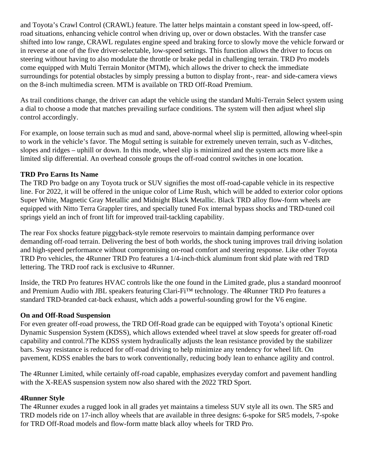and Toyota's Crawl Control (CRAWL) feature. The latter helps maintain a constant speed in low-speed, offroad situations, enhancing vehicle control when driving up, over or down obstacles. With the transfer case shifted into low range, CRAWL regulates engine speed and braking force to slowly move the vehicle forward or in reverse at one of the five driver-selectable, low-speed settings. This function allows the driver to focus on steering without having to also modulate the throttle or brake pedal in challenging terrain. TRD Pro models come equipped with Multi Terrain Monitor (MTM), which allows the driver to check the immediate surroundings for potential obstacles by simply pressing a button to display front-, rear- and side-camera views on the 8-inch multimedia screen. MTM is available on TRD Off-Road Premium.

As trail conditions change, the driver can adapt the vehicle using the standard Multi-Terrain Select system using a dial to choose a mode that matches prevailing surface conditions. The system will then adjust wheel slip control accordingly.

For example, on loose terrain such as mud and sand, above-normal wheel slip is permitted, allowing wheel-spin to work in the vehicle's favor. The Mogul setting is suitable for extremely uneven terrain, such as V-ditches, slopes and ridges – uphill or down. In this mode, wheel slip is minimized and the system acts more like a limited slip differential. An overhead console groups the off-road control switches in one location.

## **TRD Pro Earns Its Name**

The TRD Pro badge on any Toyota truck or SUV signifies the most off-road-capable vehicle in its respective line. For 2022, it will be offered in the unique color of Lime Rush, which will be added to exterior color options Super White, Magnetic Gray Metallic and Midnight Black Metallic. Black TRD alloy flow-form wheels are equipped with Nitto Terra Grappler tires, and specially tuned Fox internal bypass shocks and TRD-tuned coil springs yield an inch of front lift for improved trail-tackling capability.

The rear Fox shocks feature piggyback-style remote reservoirs to maintain damping performance over demanding off-road terrain. Delivering the best of both worlds, the shock tuning improves trail driving isolation and high-speed performance without compromising on-road comfort and steering response. Like other Toyota TRD Pro vehicles, the 4Runner TRD Pro features a 1/4-inch-thick aluminum front skid plate with red TRD lettering. The TRD roof rack is exclusive to 4Runner.

Inside, the TRD Pro features HVAC controls like the one found in the Limited grade, plus a standard moonroof and Premium Audio with JBL speakers featuring Clari-Fi™ technology. The 4Runner TRD Pro features a standard TRD-branded cat-back exhaust, which adds a powerful-sounding growl for the V6 engine.

### **On and Off-Road Suspension**

For even greater off-road prowess, the TRD Off-Road grade can be equipped with Toyota's optional Kinetic Dynamic Suspension System (KDSS), which allows extended wheel travel at slow speeds for greater off-road capability and control.?The KDSS system hydraulically adjusts the lean resistance provided by the stabilizer bars. Sway resistance is reduced for off-road driving to help minimize any tendency for wheel lift. On pavement, KDSS enables the bars to work conventionally, reducing body lean to enhance agility and control.

The 4Runner Limited, while certainly off-road capable, emphasizes everyday comfort and pavement handling with the X-REAS suspension system now also shared with the 2022 TRD Sport.

### **4Runner Style**

The 4Runner exudes a rugged look in all grades yet maintains a timeless SUV style all its own. The SR5 and TRD models ride on 17-inch alloy wheels that are available in three designs: 6-spoke for SR5 models, 7-spoke for TRD Off-Road models and flow-form matte black alloy wheels for TRD Pro.